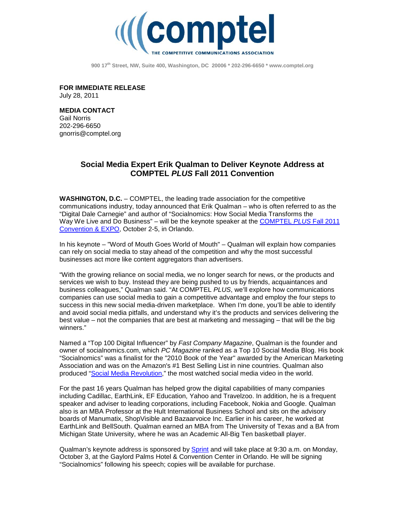

**900 17th Street, NW, Suite 400, Washington, DC 20006 \* 202-296-6650 [\\* www.comptel.org](http://www.comptel.org/)**

**FOR IMMEDIATE RELEASE** July 28, 2011

**MEDIA CONTACT** Gail Norris 202-296-6650 [gnorris@comptel.org](mailto:gnorris@comptel.org)

## **Social Media Expert Erik Qualman to Deliver Keynote Address at COMPTEL** *PLUS* **Fall 2011 Convention**

**WASHINGTON, D.C.** – COMPTEL, the leading trade association for the competitive communications industry, today announced that Erik Qualman – who is often referred to as the "Digital Dale Carnegie" and author of "Socialnomics: How Social Media Transforms the Way We Live and Do Business" – will be the keynote speaker at the [COMPTEL](http://www.comptelplus.org/) *PLUS* Fall 2011 [Convention & EXPO,](http://www.comptelplus.org/) October 2-5, in Orlando.

In his keynote – "Word of Mouth Goes World of Mouth" – Qualman will explain how companies can rely on social media to stay ahead of the competition and why the most successful businesses act more like content aggregators than advertisers.

"With the growing reliance on social media, we no longer search for news, or the products and services we wish to buy. Instead they are being pushed to us by friends, acquaintances and business colleagues," Qualman said. "At COMPTEL *PLUS*, we'll explore how communications companies can use social media to gain a competitive advantage and employ the four steps to success in this new social media-driven marketplace. When I'm done, you'll be able to identify and avoid social media pitfalls, and understand why it's the products and services delivering the best value – not the companies that are best at marketing and messaging – that will be the big winners."

Named a "Top 100 Digital Influencer" by *Fast Company Magazine*, Qualman is the founder and owner of socialnomics.com, which *PC Magazine* ranked as a Top 10 Social Media Blog. His book "Socialnomics" was a finalist for the "2010 Book of the Year" awarded by the American Marketing Association and was on the Amazon's #1 Best Selling List in nine countries. Qualman also produced ["Social Media Revolution,](http://www.youtube.com/watch?v=3SuNx0UrnEo)" the most watched social media video in the world.

For the past 16 years Qualman has helped grow the digital capabilities of many companies including Cadillac, EarthLink, EF Education, Yahoo and Travelzoo. In addition, he is a frequent speaker and adviser to leading corporations, including Facebook, Nokia and Google. Qualman also is an MBA Professor at the Hult International Business School and sits on the advisory boards of Manumatix, ShopVisible and Bazaarvoice Inc. Earlier in his career, he worked at EarthLink and BellSouth. Qualman earned an MBA from The University of Texas and a BA from Michigan State University, where he was an Academic All-Big Ten basketball player.

Qualman's keynote address is sponsored by [Sprint](http://wholesale.sprint.com/) and will take place at 9:30 a.m. on Monday, October 3, at the Gaylord Palms Hotel & Convention Center in Orlando. He will be signing "Socialnomics" following his speech; copies will be available for purchase.